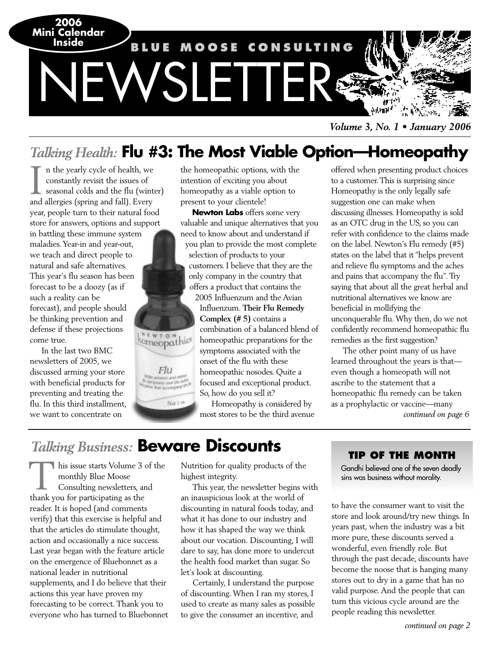

*Volume 3, No. 1 • January 2006*

## *Talking Health:* **Flu #3: The Most Viable Option—Homeopathy**

the homeopathic options, with the

n the yearly cycle of health, we constantly revisit the issues of seasonal colds and the flu (winter) In the yearly cycle of health, we constantly revisit the issues of seasonal colds and the flu (winting and fall). Every year, people turn to their natural food store for answers, options and support

in battling these immune system maladies. Year-in and year-out, we teach and direct people to natural and safe alternatives. This year's flu season has been forecast to be a doozy (as if such a reality can be forecast), and people should be thinking prevention and defense if these projections come true.

In the last two BMC newsletters of 2005, we discussed arming your store with beneficial products for preventing and treating the flu. In this third installment, we want to concentrate on

intention of exciting you about homeopathy as a viable option to present to your clientele! **Newton Labs** offers some very valuable and unique alternatives that you

need to know about and understand if you plan to provide the most complete selection of products to your customers. I believe that they are the only company in the country that offers a product that contains the

2005 Influenzum and the Avian Influenzum. **Their Flu Remedy Complex (# 5)** contains a combination of a balanced blend of homeopathic preparations for the symptoms associated with the onset of the flu with these homeopathic nosodes. Quite a focused and exceptional product. So, how do you sell it?

Homeopathy is considered by most stores to be the third avenue offered when presenting product choices to a customer. This is surprising since Homeopathy is the only legally safe suggestion one can make when discussing illnesses. Homeopathy is sold as an OTC drug in the US, so you can refer with confidence to the claims made on the label. Newton's Flu remedy (#5) states on the label that it "helps prevent and relieve flu symptoms and the aches and pains that accompany the flu". Try saying that about all the great herbal and nutritional alternatives we know are beneficial in mollifying the unconquerable flu. Why then, do we not confidently recommend homeopathic flu remedies as the first suggestion?

The other point many of us have learned throughout the years is that even though a homeopath will not ascribe to the statement that a homeopathic flu remedy can be taken as a prophylactic or vaccine—many *continued on page 6*

## *Talking Business:* **Beware Discounts**

**MEWTON** 

Flu

Net 148

his issue starts Volume 3 of the monthly Blue Moose Consulting newsletters, and This issue starts Volume 3<br>
monthly Blue Moose<br>
Consulting newsletters, at<br>
thank you for participating as the reader. It is hoped (and comments verify) that this exercise is helpful and that the articles do stimulate thought, action and occasionally a nice success. Last year began with the feature article on the emergence of Bluebonnet as a national leader in nutritional supplements, and I do believe that their actions this year have proven my forecasting to be correct. Thank you to everyone who has turned to Bluebonnet

Nutrition for quality products of the highest integrity.

This year, the newsletter begins with an inauspicious look at the world of discounting in natural foods today, and what it has done to our industry and how it has shaped the way we think about our vocation. Discounting, I will dare to say, has done more to undercut the health food market than sugar. So let's look at discounting.

Certainly, I understand the purpose of discounting. When I ran my stores, I used to create as many sales as possible to give the consumer an incentive, and

### **TIP OF THE MONTH**

Gandhi believed one of the seven deadly sins was business without morality.

to have the consumer want to visit the store and look around/try new things. In years past, when the industry was a bit more pure, these discounts served a wonderful, even friendly role. But through the past decade, discounts have become the noose that is hanging many stores out to dry in a game that has no valid purpose. And the people that can turn this vicious cycle around are the people reading this newsletter.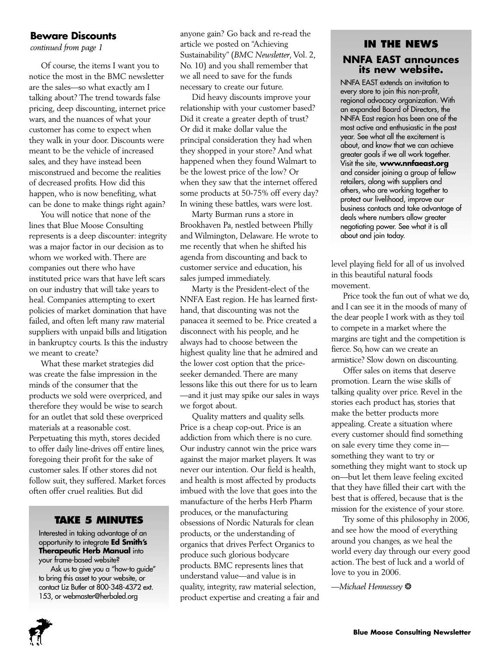### **Beware Discounts**

*continued from page 1*

Of course, the items I want you to notice the most in the BMC newsletter are the sales—so what exactly am I talking about? The trend towards false pricing, deep discounting, internet price wars, and the nuances of what your customer has come to expect when they walk in your door. Discounts were meant to be the vehicle of increased sales, and they have instead been misconstrued and become the realities of decreased profits. How did this happen, who is now benefiting, what can be done to make things right again?

You will notice that none of the lines that Blue Moose Consulting represents is a deep discounter: integrity was a major factor in our decision as to whom we worked with. There are companies out there who have instituted price wars that have left scars on our industry that will take years to heal. Companies attempting to exert policies of market domination that have failed, and often left many raw material suppliers with unpaid bills and litigation in bankruptcy courts. Is this the industry we meant to create?

What these market strategies did was create the false impression in the minds of the consumer that the products we sold were overpriced, and therefore they would be wise to search for an outlet that sold these overpriced materials at a reasonable cost. Perpetuating this myth, stores decided to offer daily line-drives off entire lines, foregoing their profit for the sake of customer sales. If other stores did not follow suit, they suffered. Market forces often offer cruel realities. But did

### **TAKE 5 MINUTES**

Interested in taking advantage of an opportunity to integrate **Ed Smith's Therapeutic Herb Manual** into your frame-based website?

Ask us to give you a "how-to guide" to bring this asset to your website, or contact Liz Butler at 800-348-4372 ext. 153, or webmaster@herbaled.org

anyone gain? Go back and re-read the article we posted on "Achieving Sustainability" (*BMC Newsletter*, Vol. 2, No. 10) and you shall remember that we all need to save for the funds necessary to create our future.

Did heavy discounts improve your relationship with your customer based? Did it create a greater depth of trust? Or did it make dollar value the principal consideration they had when they shopped in your store? And what happened when they found Walmart to be the lowest price of the low? Or when they saw that the internet offered some products at 50-75% off every day? In wining these battles, wars were lost.

Marty Burman runs a store in Brookhaven Pa, nestled between Philly and Wilmington, Delaware. He wrote to me recently that when he shifted his agenda from discounting and back to customer service and education, his sales jumped immediately.

Marty is the President-elect of the NNFA East region. He has learned firsthand, that discounting was not the panacea it seemed to be. Price created a disconnect with his people, and he always had to choose between the highest quality line that he admired and the lower cost option that the priceseeker demanded. There are many lessons like this out there for us to learn —and it just may spike our sales in ways we forgot about.

Quality matters and quality sells. Price is a cheap cop-out. Price is an addiction from which there is no cure. Our industry cannot win the price wars against the major market players. It was never our intention. Our field is health, and health is most affected by products imbued with the love that goes into the manufacture of the herbs Herb Pharm produces, or the manufacturing obsessions of Nordic Naturals for clean products, or the understanding of organics that drives Perfect Organics to produce such glorious bodycare products. BMC represents lines that understand value—and value is in quality, integrity, raw material selection, product expertise and creating a fair and

### **IN THE NEWS NNFA EAST announces its new website.**

NNFA EAST extends an invitation to every store to join this non-profit, regional advocacy organization. With an expanded Board of Directors, the NNFA East region has been one of the most active and enthusiastic in the past year. See what all the excitement is about, and know that we can achieve greater goals if we all work together. Visit the site, **www.nnfaeast.org** and consider joining a group of fellow retailers, along with suppliers and others, who are working together to protect our livelihood, improve our business contacts and take advantage of deals where numbers allow greater negotiating power. See what it is all about and join today.

level playing field for all of us involved in this beautiful natural foods movement.

Price took the fun out of what we do, and I can see it in the moods of many of the dear people I work with as they toil to compete in a market where the margins are tight and the competition is fierce. So, how can we create an armistice? Slow down on discounting.

Offer sales on items that deserve promotion. Learn the wise skills of talking quality over price. Revel in the stories each product has, stories that make the better products more appealing. Create a situation where every customer should find something on sale every time they come in something they want to try or something they might want to stock up on—but let them leave feeling excited that they have filled their cart with the best that is offered, because that is the mission for the existence of your store.

Try some of this philosophy in 2006, and see how the mood of everything around you changes, as we heal the world every day through our every good action. The best of luck and a world of love to you in 2006.

*—Michael Hennessey* ❂

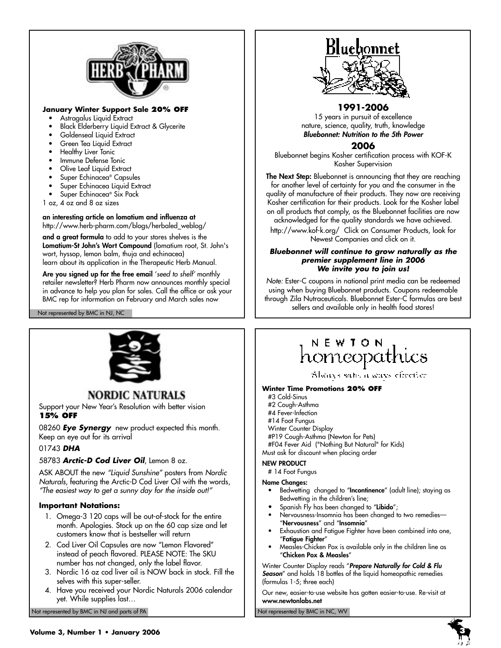

### **January Winter Support Sale 20% OFF**

- Astragalus Liquid Extract
- Black Elderberry Liquid Extract & Glycerite
- Goldenseal Liquid Extract
- Green Tea Liquid Extract
- Healthy Liver Tonic
- Immune Defense Tonic
- Olive Leaf Liquid Extract
- Super Echinacea® Capsules
- Super Echinacea Liquid Extract
- Super Echinacea® Six Pack
- 1 oz, 4 oz and 8 oz sizes

**an interesting article on lomatium and influenza at**  http://www.herb-pharm.com/blogs/herbaled\_weblog/

**and a great formula** to add to your stores shelves is the **Lomatium-St John's Wort Compound** (lomatium root, St. John's wort, hyssop, lemon balm, thuja and echinacea) learn about its application in the Therapeutic Herb Manual.

Are you signed up for the free email 'seed to shelf' monthly retailer newsletter? Herb Pharm now announces monthly special in advance to help you plan for sales. Call the office or ask your BMC rep for information on February and March sales now

Not represented by BMC in NJ, NC



### **NORDIC NATURALS**

Support your New Year's Resolution with better vision **15% OFF** 

08260 **Eye Synergy** new product expected this month. Keep an eye out for its arrival

### 01743 **DHA**

58783 **Arctic-D Cod Liver Oil**, Lemon 8 oz.

ASK ABOUT the new "Liquid Sunshine" posters from Nordic Naturals, featuring the Arctic-D Cod Liver Oil with the words, "The easiest way to get a sunny day for the inside out!"

### **Important Notations:**

- 1. Omega-3 120 caps will be out-of-stock for the entire month. Apologies. Stock up on the 60 cap size and let customers know that is bestseller will return
- 2. Cod Liver Oil Capsules are now "Lemon Flavored" instead of peach flavored. PLEASE NOTE: The SKU number has not changed, only the label flavor.
- 3. Nordic 16 oz cod liver oil is NOW back in stock. Fill the selves with this super-seller.
- 4. Have you received your Nordic Naturals 2006 calendar yet. While supplies last…

Not represented by BMC in NJ and parts of PA Not represented by BMC in NC, WV Not represented by BMC in NC, WV



### **1991-2006**

15 years in pursuit of excellence nature, science, quality, truth, knowledge **Bluebonnet: Nutrition to the 5th Power**

### **2006**

Bluebonnet begins Kosher certification process with KOF-K Kosher Supervision

**The Next Step:** Bluebonnet is announcing that they are reaching for another level of certainty for you and the consumer in the quality of manufacture of their products. They now are receiving Kosher certification for their products. Look for the Kosher label on all products that comply, as the Bluebonnet facilities are now acknowledged for the quality standards we have achieved.

http://www.kof-k.org/ Click on Consumer Products, look for Newest Companies and click on it.

#### **Bluebonnet will continue to grow naturally as the premier supplement line in 2006 We invite you to join us!**

Note: Ester-C coupons in national print media can be redeemed using when buying Bluebonnet products. Coupons redeemable through Zila Nutraceuticals. Bluebonnet Ester-C formulas are best sellers and available only in health food stores!

## NEWION homeopathics

Alsonys sales a seavs effection

#### **Winter Time Promotions 20% OFF**

- #3 Cold-Sinus
- #2 Cough-Asthma
- #4 Fever-Infection
- #14 Foot Fungus
- Winter Counter Display
- #P19 Cough-Asthma (Newton for Pets) #F04 Fever Aid ("Nothing But Natural" for Kids)

Must ask for discount when placing order

### **NEW PRODUCT**

# 14 Foot Fungus

- **Name Changes:**
	- Bedwetting changed to "**Incontinence**" (adult line); staying as Bedwetting in the children's line;
	- Spanish Fly has been changed to "**Libido**";
	- Nervousness-Insomnia has been changed to two remedies— "**Nervousness**" and "**Insomnia**"
	- Exhaustion and Fatigue Fighter have been combined into one, "**Fatigue Fighter**"
	- Measles-Chicken Pox is available only in the children line as "**Chicken Pox & Measles**"

Winter Counter Display reads "**Prepare Naturally for Cold & Flu Season**" and holds 18 bottles of the liquid homeopathic remedies (formulas 1-5; three each)

Our new, easier-to-use website has gotten easier-to-use. Re-visit at **www.newtonlabs.net**

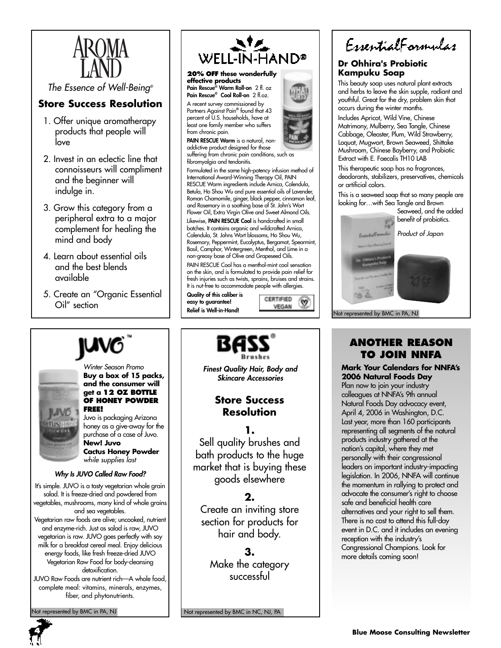

The Essence of Well-Being®

### **Store Success Resolution**

- 1. Offer unique aromatherapy products that people will love
- 2. Invest in an eclectic line that connoisseurs will compliment and the beginner will indulge in.
- 3. Grow this category from a peripheral extra to a major complement for healing the mind and body
- 4. Learn about essential oils and the best blends available
- 5. Create an "Organic Essential Oil" section



#### Winter Season Promo **Buy a box of 15 packs, and the consumer will get a 12 OZ BOTTLE OF HONEY POWDER FREE!**

Juvo is packaging Arizona honey as a give-away for the purchase of a case of Juvo. **New! Juvo Cactus Honey Powder**

while supplies last

### **Why Is JUVO Called Raw Food?**

It's simple. JUVO is a tasty vegetarian whole grain salad. It is freeze-dried and powdered from vegetables, mushrooms, many kind of whole grains and sea vegetables.

Vegetarian raw foods are alive; uncooked, nutrient and enzyme-rich. Just as salad is raw, JUVO vegetarian is raw. JUVO goes perfectly with soy milk for a breakfast cereal meal. Enjoy delicious energy foods, like fresh freeze-dried JUVO Vegetarian Raw Food for body-cleansing detoxification.

JUVO Raw Foods are nutrient rich—A whole food, complete meal: vitamins, minerals, enzymes, fiber, and phytonutrients.

ot represented by BMC in PA, NJ



**Pain Rescue® Warm Roll-on** 2 fl. oz **Pain Rescue® Cool Roll-on** 2 fl.oz. A recent survey commissioned by

Partners Against Pain**®** found that 43 percent of U.S. households, have at least one family member who suffers from chronic pain.

**PAIN RESCUE Warm** is a natural, nonaddictive product designed for those suffering from chronic pain conditions, such as

fibromyalgia and tendonitis. Formulated in the same high-potency infusion method of International Award-Winning Therapy Oil, PAIN RESCUE Warm ingredients include Arnica, Calendula, Betula, Ho Shou Wu and pure essential oils of Lavender, Roman Chamomile, ginger, black pepper, cinnamon leaf, and Rosemary in a soothing base of St. John's Wort Flower Oil, Extra Virgin Olive and Sweet Almond Oils.

Likewise, **PAIN RESCUE Cool** is handcrafted in small batches. It contains organic and wildcrafted Arnica, Calendula, St. Johns Wort blossoms, Ho Shou Wu, Rosemary, Peppermint, Eucalyptus, Bergamot, Spearmint, Basil, Camphor, Wintergreen, Menthol, and Lime in a non-greasy base of Olive and Grapeseed Oils. PAIN RESCUE Cool has a menthol-mint cool sensation

on the skin, and is formulated to provide pain relief for fresh injuries such as twists, sprains, bruises and strains. It is nut-free to accommodate people with allergies.

**Quality of this caliber is easy to guarantee! Relief is Well-in-Hand!**





### **Dr Ohhira's Probiotic Kampuku Soap**

This beauty soap uses natural plant extracts and herbs to leave the skin supple, radiant and youthful. Great for the dry, problem skin that occurs during the winter months.

Includes Apricot, Wild Vine, Chinese Matrimony, Mulberry, Sea Tangle, Chinese Cabbage, Oleaster, Plum, Wild Strawberry, Loquat, Mugwort, Brown Seaweed, Shittake Mushroom, Chinese Bayberry, and Probiotic Extract with E. Faecalis TH10 LAB

This therapeutic soap has no fragrances, deodorants, stabilizers, preservatives, chemicals or artificial colors.

This is a seaweed soap that so many people are looking for…with Sea Tangle and Brown

Seaweed, and the added benefit of probiotics.

Product of Japan

Not represented by BMC in PA, NJ

### **ANOTHER REASON TO JOIN NNFA**

**Mark Your Calendars for NNFA's 2006 Natural Foods Day**

Plan now to join your industry colleagues at NNFA's 9th annual Natural Foods Day advocacy event, April 4, 2006 in Washington, D.C. Last year, more than 160 participants representing all segments of the natural products industry gathered at the nation's capital, where they met personally with their congressional leaders on important industry-impacting legislation. In 2006, NNFA will continue the momentum in rallying to protect and advocate the consumer's right to choose safe and beneficial health care alternatives and your right to sell them. There is no cost to attend this full-day event in D.C. and it includes an evening reception with the industry's Congressional Champions. Look for more details coming soon!

Not represented by BMC in NC, NJ, PA



**Store Success Finest Quality Hair, Body and Skincare Accessories**

# **Resolution**

**1.** Sell quality brushes and goods elsewhere

### **2.**

Create an inviting store section for products for hair and body.

### **3.**

Make the category successful

bath products to the huge market that is buying these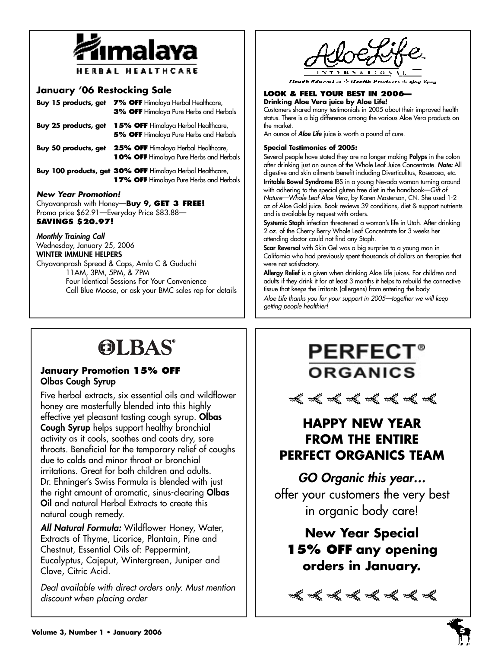

### **January '06 Restocking Sale**

| Buy 15 products, get                                                                                                                             | 7% OFF Himalaya Herbal Healthcare,<br>3% OFF Himalaya Pure Herbs and Herbals                         |
|--------------------------------------------------------------------------------------------------------------------------------------------------|------------------------------------------------------------------------------------------------------|
| Buy 25 products, get                                                                                                                             | <b>15% OFF</b> Himalaya Herbal Healthcare,<br>5% OFF Himalaya Pure Herbs and Herbals                 |
| Buy 50 products, get                                                                                                                             | 25% OFF Himalaya Herbal Healthcare,<br>10% OFF Himalaya Pure Herbs and Herbals                       |
|                                                                                                                                                  | Buy 100 products, get 30% OFF Himalaya Herbal Healthcare,<br>17% OFF Himalaya Pure Herbs and Herbals |
| <b>New Year Promotion!</b><br>Chyavanprash with Honey-Buy 9, GET 3 FREE!<br>$D_{\text{romo orion}}$ $$42.01$ Fronclay $D_{\text{rion}}$ $$93.99$ |                                                                                                      |

Promo price \$62.91—Everyday Price \$83.88— **SAVINGS \$20.97!** 

**Monthly Training Call**  Wednesday, January 25, 2006 **WINTER IMMUNE HELPERS** Chyavanprash Spread & Caps, Amla C & Guduchi 11AM, 3PM, 5PM, & 7PM Four Identical Sessions For Your Convenience Call Blue Moose, or ask your BMC sales rep for details

### **LOOK & FEEL YOUR BEST IN 2006—**

**Drinking Aloe Vera juice by Aloe Life!**  Customers shared many testimonials in 2005 about their improved health status. There is a big difference among the various Aloe Vera products on the market.

An ounce of **Aloe Life** juice is worth a pound of cure.

### **Special Testimonies of 2005:**

Several people have stated they are no longer making **Polyps** in the colon after drinking just an ounce of the Whole Leaf Juice Concentrate. **Note:** All digestive and skin ailments benefit including Diverticulitus, Roseacea, etc.

**Irritable Bowel Syndrome** IBS in a young Nevada woman turning around with adhering to the special gluten free diet in the handbook—Gift of Nature—Whole Leaf Aloe Vera, by Karen Masterson, CN. She used 1-2 oz of Aloe Gold juice. Book reviews 39 conditions, diet & support nutrients and is available by request with orders.

**Systemic Staph** infection threatened a woman's life in Utah. After drinking 2 oz. of the Cherry Berry Whole Leaf Concentrate for 3 weeks her attending doctor could not find any Staph.

**Scar Reversal** with Skin Gel was a big surprise to a young man in California who had previously spent thousands of dollars on therapies that were not satisfactory.

**Allergy Relief** is a given when drinking Aloe Life juices. For children and adults if they drink it for at least 3 months it helps to rebuild the connective tissue that keeps the irritants (allergens) from entering the body. Aloe Life thanks you for your support in 2005—together we will keep getting people healthier!

# **OLBAS**

### **January Promotion 15% OFF Olbas Cough Syrup**

Five herbal extracts, six essential oils and wildflower honey are masterfully blended into this highly effective yet pleasant tasting cough syrup. **Olbas Cough Syrup** helps support healthy bronchial activity as it cools, soothes and coats dry, sore throats. Beneficial for the temporary relief of coughs due to colds and minor throat or bronchial irritations. Great for both children and adults. Dr. Ehninger's Swiss Formula is blended with just the right amount of aromatic, sinus-clearing **Olbas Oil** and natural Herbal Extracts to create this natural cough remedy.

**All Natural Formula:** Wildflower Honey, Water, Extracts of Thyme, Licorice, Plantain, Pine and Chestnut, Essential Oils of: Peppermint, Eucalyptus, Cajeput, Wintergreen, Juniper and Clove, Citric Acid.

Deal available with direct orders only. Must mention discount when placing order

## **PERFECT® ORGANICS**

## w w w w w w w w

## **HAPPY NEW YEAR FROM THE ENTIRE PERFECT ORGANICS TEAM**

**GO Organic this year…** offer your customers the very best in organic body care!

**New Year Special 15% OFF any opening orders in January.**

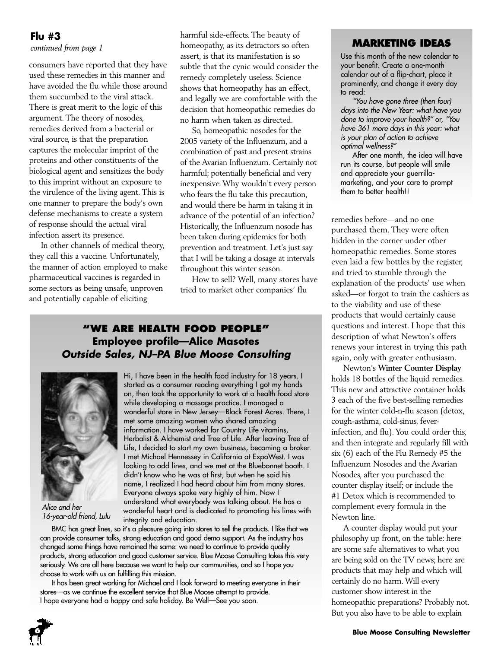### **Flu #3**

*continued from page 1*

consumers have reported that they have used these remedies in this manner and have avoided the flu while those around them succumbed to the viral attack. There is great merit to the logic of this argument. The theory of nosodes, remedies derived from a bacterial or viral source, is that the preparation captures the molecular imprint of the proteins and other constituents of the biological agent and sensitizes the body to this imprint without an exposure to the virulence of the living agent. This is one manner to prepare the body's own defense mechanisms to create a system of response should the actual viral infection assert its presence.

In other channels of medical theory, they call this a vaccine. Unfortunately, the manner of action employed to make pharmaceutical vaccines is regarded in some sectors as being unsafe, unproven and potentially capable of eliciting

harmful side-effects. The beauty of homeopathy, as its detractors so often assert, is that its manifestation is so subtle that the cynic would consider the remedy completely useless. Science shows that homeopathy has an effect, and legally we are comfortable with the decision that homeopathic remedies do no harm when taken as directed.

So, homeopathic nosodes for the 2005 variety of the Influenzum, and a combination of past and present strains of the Avarian Influenzum. Certainly not harmful; potentially beneficial and very inexpensive.Why wouldn't every person who fears the flu take this precaution, and would there be harm in taking it in advance of the potential of an infection? Historically, the Influenzum nosode has been taken during epidemics for both prevention and treatment. Let's just say that I will be taking a dosage at intervals throughout this winter season.

How to sell? Well, many stores have tried to market other companies' flu

### **"WE ARE HEALTH FOOD PEOPLE" Employee profile—Alice Masotes Outside Sales, NJ–PA Blue Moose Consulting**



Alice and her 16-year-old friend, Lulu

Hi, I have been in the health food industry for 18 years. I started as a consumer reading everything I got my hands on, then took the opportunity to work at a health food store while developing a massage practice. I managed a wonderful store in New Jersey—Black Forest Acres. There, I met some amazing women who shared amazing information. I have worked for Country Life vitamins, Herbalist & Alchemist and Tree of Life. After leaving Tree of Life, I decided to start my own business, becoming a broker. I met Michael Hennessey in California at ExpoWest. I was looking to add lines, and we met at the Bluebonnet booth. I didn't know who he was at first, but when he said his name, I realized I had heard about him from many stores. Everyone always spoke very highly of him. Now I understand what everybody was talking about. He has a wonderful heart and is dedicated to promoting his lines with integrity and education.

BMC has great lines, so it's a pleasure going into stores to sell the products. I like that we can provide consumer talks, strong education and good demo support. As the industry has changed some things have remained the same: we need to continue to provide quality products, strong education and good customer service. Blue Moose Consulting takes this very seriously. We are all here because we want to help our communities, and so I hope you choose to work with us on fulfilling this mission.

It has been great working for Michael and I look forward to meeting everyone in their stores—as we continue the excellent service that Blue Moose attempt to provide. I hope everyone had a happy and safe holiday. Be Well-See you soon.

### **MARKETING IDEAS**

Use this month of the new calendar to your benefit. Create a one-month calendar out of a flip-chart, place it prominently, and change it every day to read:

"You have gone three (then four) days into the New Year: what have you done to improve your health?" or, "You have 361 more days in this year: what is your plan of action to achieve optimal wellness?"

After one month, the idea will have run its course, but people will smile and appreciate your guerrillamarketing, and your care to prompt them to better health!!

remedies before—and no one purchased them. They were often hidden in the corner under other homeopathic remedies. Some stores even laid a few bottles by the register, and tried to stumble through the explanation of the products' use when asked—or forgot to train the cashiers as to the viability and use of these products that would certainly cause questions and interest. I hope that this description of what Newton's offers renews your interest in trying this path again, only with greater enthusiasm.

Newton's **Winter Counter Display** holds 18 bottles of the liquid remedies. This new and attractive container holds 3 each of the five best-selling remedies for the winter cold-n-flu season (detox, cough-asthma, cold-sinus, feverinfection, and flu).You could order this, and then integrate and regularly fill with six (6) each of the Flu Remedy #5 the Influenzum Nosodes and the Avarian Nosodes, after you purchased the counter display itself; or include the #1 Detox which is recommended to complement every formula in the Newton line.

A counter display would put your philosophy up front, on the table: here are some safe alternatives to what you are being sold on the TV news; here are products that may help and which will certainly do no harm.Will every customer show interest in the homeopathic preparations? Probably not. But you also have to be able to explain

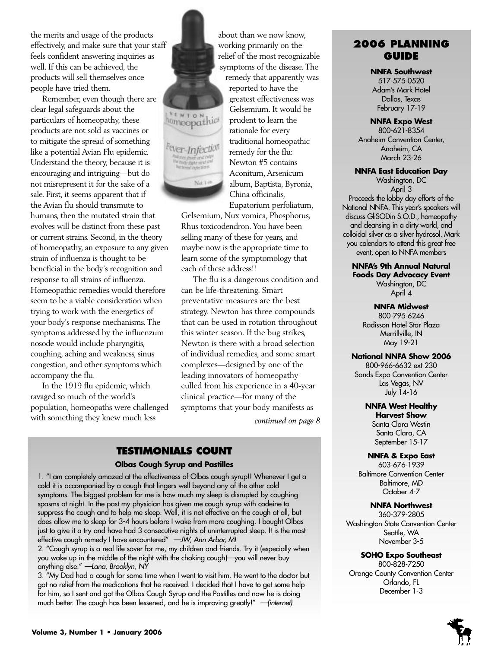the merits and usage of the products effectively, and make sure that your staff feels confident answering inquiries as well. If this can be achieved, the products will sell themselves once people have tried them.

Remember, even though there are clear legal safeguards about the particulars of homeopathy, these products are not sold as vaccines or to mitigate the spread of something like a potential Avian Flu epidemic. Understand the theory, because it is encouraging and intriguing—but do not misrepresent it for the sake of a sale. First, it seems apparent that if the Avian flu should transmute to humans, then the mutated strain that evolves will be distinct from these past or current strains. Second, in the theory of homeopathy, an exposure to any given strain of influenza is thought to be beneficial in the body's recognition and response to all strains of influenza. Homeopathic remedies would therefore seem to be a viable consideration when trying to work with the energetics of your body's response mechanisms.The symptoms addressed by the influenzum nosode would include pharyngitis, coughing, aching and weakness, sinus congestion, and other symptoms which accompany the flu.

In the 1919 flu epidemic, which ravaged so much of the world's population, homeopaths were challenged with something they knew much less



about than we now know, working primarily on the relief of the most recognizable symptoms of the disease.The

remedy that apparently was reported to have the greatest effectiveness was Gelsemium. It would be prudent to learn the rationale for every traditional homeopathic remedy for the flu: Newton #5 contains Aconitum,Arsenicum album, Baptista, Byronia, China officinalis, Eupatorium perfoliatum,

Gelsemium, Nux vomica, Phosphorus, Rhus toxicodendron.You have been selling many of these for years, and maybe now is the appropriate time to learn some of the symptomology that each of these address!!

The flu is a dangerous condition and can be life-threatening. Smart preventative measures are the best strategy. Newton has three compounds that can be used in rotation throughout this winter season. If the bug strikes, Newton is there with a broad selection of individual remedies, and some smart complexes—designed by one of the leading innovators of homeopathy culled from his experience in a 40-year clinical practice—for many of the symptoms that your body manifests as

*continued on page 8*

### **TESTIMONIALS COUNT**

#### **Olbas Cough Syrup and Pastilles**

1. "I am completely amazed at the effectiveness of Olbas cough syrup!! Whenever I get a cold it is accompanied by a cough that lingers well beyond any of the other cold symptoms. The biggest problem for me is how much my sleep is disrupted by coughing spasms at night. In the past my physician has given me cough syrup with codeine to suppress the cough and to help me sleep. Well, it is not effective on the cough at all, but does allow me to sleep for 3-4 hours before I wake from more coughing. I bought Olbas just to give it a try and have had 3 consecutive nights of uninterrupted sleep. It is the most effective cough remedy I have encountered" - JW, Ann Arbor, MI

2. "Cough syrup is a real life saver for me, my children and friends. Try it (especially when you wake up in the middle of the night with the choking cough)—you will never buy anything else." —Lana, Brooklyn, NY

3. "My Dad had a cough for some time when I went to visit him. He went to the doctor but got no relief from the medications that he received. I decided that I have to get some help for him, so I sent and got the Olbas Cough Syrup and the Pastilles and now he is doing much better. The cough has been lessened, and he is improving greatly!" —(internet)

### **2006 PLANNING GUIDE**

#### **NNFA Southwest**

517-575-0520 Adam's Mark Hotel Dallas, Texas February 17-19

### **NNFA Expo West**

800-621-8354 Anaheim Convention Center, Anaheim, CA March 23-26

### **NNFA East Education Day**

Washington, DC April 3 Proceeds the lobby day efforts of the National NNFA. This year's speakers will discuss GliSODin S.O.D., homeopathy and cleansing in a dirty world, and colloidal silver as a silver hydrosol. Mark you calendars to attend this great free event, open to NNFA members

### **NNFA's 9th Annual Natural Foods Day Advocacy Event** Washington, DC April 4

**NNFA Midwest**

800-795-6246 Radisson Hotel Star Plaza Merrillville, IN May 19-21

### **National NNFA Show 2006**

800-966-6632 ext 230 Sands Expo Convention Center Las Vegas, NV July 14-16

### **NNFA West Healthy**

**Harvest Show** Santa Clara Westin Santa Clara, CA September 15-17

#### **NNFA & Expo East**

603-676-1939 Baltimore Convention Center Baltimore, MD October 4-7

### **NNFA Northwest**

360-379-2805 Washington State Convention Center Seattle, WA November 3-5

### **SOHO Expo Southeast**

800-828-7250 Orange County Convention Center Orlando, FL December 1-3